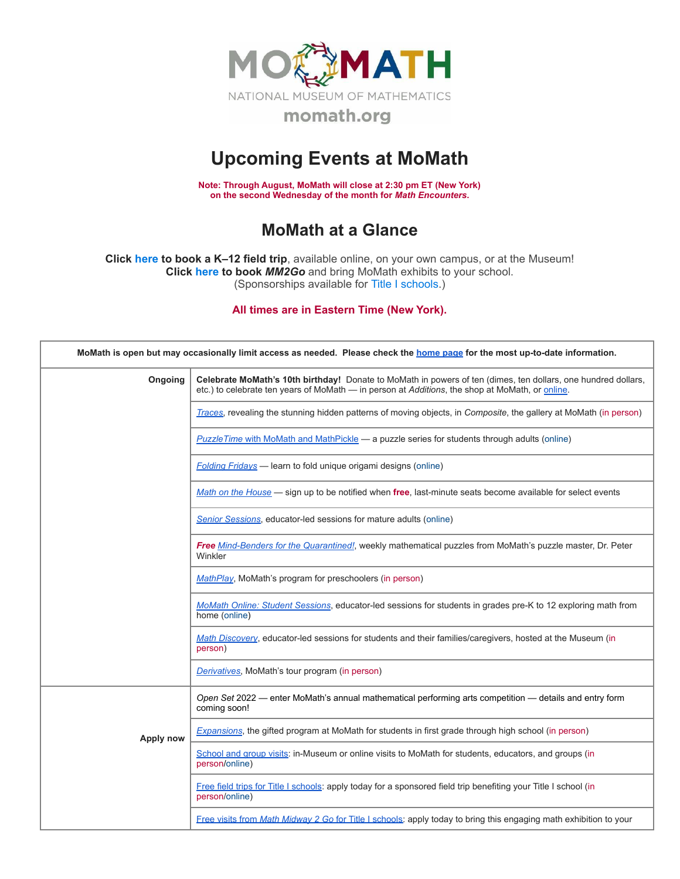

## **Upcoming Events at MoMath**

**Note: Through August, MoMath will close at 2:30 pm ET (New York) on the second Wednesday of the month for** *Math [Encounters](http://mathencounters.org/)***.**

## **MoMath at a Glance**

**Click [here](http://fieldtrips.momath.org/) to book a K–12 field trip**, available online, on your own campus, or at the Museum! **Click [here](http://mm2go.momath.org/) to book** *MM2Go* and bring MoMath exhibits to your school. (Sponsorships available for Title I [schools.](http://titleone.momath.org/))

**All times are in Eastern Time (New York).**

| MoMath is open but may occasionally limit access as needed. Please check the home page for the most up-to-date information. |                                                                                                                                                                                                                  |  |  |  |
|-----------------------------------------------------------------------------------------------------------------------------|------------------------------------------------------------------------------------------------------------------------------------------------------------------------------------------------------------------|--|--|--|
| Ongoing                                                                                                                     | Celebrate MoMath's 10th birthday! Donate to MoMath in powers of ten (dimes, ten dollars, one hundred dollars,<br>etc.) to celebrate ten years of MoMath - in person at Additions, the shop at MoMath, or online. |  |  |  |
|                                                                                                                             | Traces, revealing the stunning hidden patterns of moving objects, in Composite, the gallery at MoMath (in person)                                                                                                |  |  |  |
|                                                                                                                             | <b>PuzzleTime with MoMath and MathPickle — a puzzle series for students through adults (online)</b>                                                                                                              |  |  |  |
|                                                                                                                             | <b>Folding Fridays</b> - learn to fold unique origami designs (online)                                                                                                                                           |  |  |  |
|                                                                                                                             | Math on the House - sign up to be notified when free, last-minute seats become available for select events                                                                                                       |  |  |  |
|                                                                                                                             | <b>Senior Sessions</b> , educator-led sessions for mature adults (online)                                                                                                                                        |  |  |  |
|                                                                                                                             | Free Mind-Benders for the Quarantined!, weekly mathematical puzzles from MoMath's puzzle master, Dr. Peter<br>Winkler                                                                                            |  |  |  |
|                                                                                                                             | MathPlay, MoMath's program for preschoolers (in person)                                                                                                                                                          |  |  |  |
|                                                                                                                             | MoMath Online: Student Sessions, educator-led sessions for students in grades pre-K to 12 exploring math from<br>home (online)                                                                                   |  |  |  |
|                                                                                                                             | Math Discovery, educator-led sessions for students and their families/caregivers, hosted at the Museum (in<br>person)                                                                                            |  |  |  |
|                                                                                                                             | Derivatives, MoMath's tour program (in person)                                                                                                                                                                   |  |  |  |
|                                                                                                                             | Open Set 2022 - enter MoMath's annual mathematical performing arts competition - details and entry form<br>coming soon!                                                                                          |  |  |  |
| Apply now                                                                                                                   | Expansions, the gifted program at MoMath for students in first grade through high school (in person)                                                                                                             |  |  |  |
|                                                                                                                             | School and group visits: in-Museum or online visits to MoMath for students, educators, and groups (in<br>person/online)                                                                                          |  |  |  |
|                                                                                                                             | Free field trips for Title I schools: apply today for a sponsored field trip benefiting your Title I school (in<br>person/online)                                                                                |  |  |  |
|                                                                                                                             | Free visits from Math Midway 2 Go for Title I schools: apply today to bring this engaging math exhibition to your                                                                                                |  |  |  |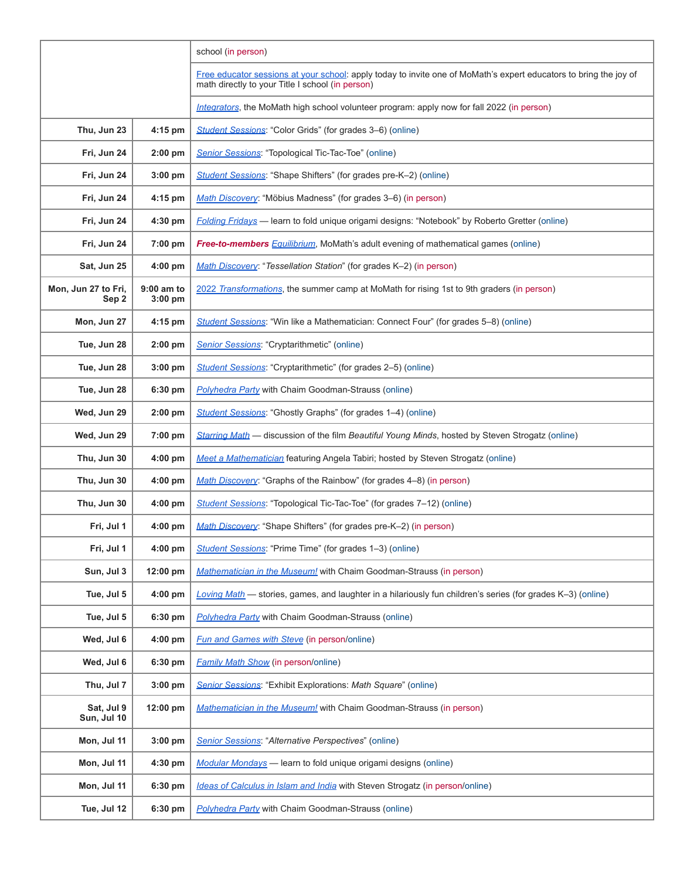|                              |                         | school (in person)                                                                                                                                                    |
|------------------------------|-------------------------|-----------------------------------------------------------------------------------------------------------------------------------------------------------------------|
|                              |                         | Free educator sessions at your school: apply today to invite one of MoMath's expert educators to bring the joy of<br>math directly to your Title I school (in person) |
|                              |                         | Integrators, the MoMath high school volunteer program: apply now for fall 2022 (in person)                                                                            |
| Thu, Jun 23                  | 4:15 pm                 | Student Sessions: "Color Grids" (for grades 3–6) (online)                                                                                                             |
| Fri, Jun 24                  | 2:00 pm                 | Senior Sessions: "Topological Tic-Tac-Toe" (online)                                                                                                                   |
| Fri, Jun 24                  | $3:00$ pm               | Student Sessions: "Shape Shifters" (for grades pre-K-2) (online)                                                                                                      |
| Fri, Jun 24                  | 4:15 pm                 | Math Discovery: "Möbius Madness" (for grades 3-6) (in person)                                                                                                         |
| Fri, Jun 24                  | 4:30 pm                 | Folding Fridays - learn to fold unique origami designs: "Notebook" by Roberto Gretter (online)                                                                        |
| Fri, Jun 24                  | 7:00 pm                 | <b>Free-to-members</b> Equilibrium, MoMath's adult evening of mathematical games (online)                                                                             |
| Sat, Jun 25                  | 4:00 pm                 | Math Discovery: "Tessellation Station" (for grades K-2) (in person)                                                                                                   |
| Mon, Jun 27 to Fri,<br>Sep 2 | 9:00 am to<br>$3:00$ pm | 2022 Transformations, the summer camp at MoMath for rising 1st to 9th graders (in person)                                                                             |
| Mon, Jun 27                  | 4:15 pm                 | Student Sessions: "Win like a Mathematician: Connect Four" (for grades 5-8) (online)                                                                                  |
| Tue, Jun 28                  | 2:00 pm                 | Senior Sessions: "Cryptarithmetic" (online)                                                                                                                           |
| Tue, Jun 28                  | 3:00 pm                 | Student Sessions: "Cryptarithmetic" (for grades 2-5) (online)                                                                                                         |
| Tue, Jun 28                  | 6:30 pm                 | <b>Polyhedra Party with Chaim Goodman-Strauss (online)</b>                                                                                                            |
| Wed, Jun 29                  | 2:00 pm                 | Student Sessions: "Ghostly Graphs" (for grades 1-4) (online)                                                                                                          |
| Wed, Jun 29                  | 7:00 pm                 | Starring Math - discussion of the film Beautiful Young Minds, hosted by Steven Strogatz (online)                                                                      |
| Thu, Jun 30                  | $4:00$ pm               | Meet a Mathematician featuring Angela Tabiri; hosted by Steven Strogatz (online)                                                                                      |
| Thu, Jun 30                  | 4:00 pm                 | Math Discovery: "Graphs of the Rainbow" (for grades 4-8) (in person)                                                                                                  |
| Thu, Jun 30                  | 4:00 pm                 | Student Sessions: "Topological Tic-Tac-Toe" (for grades 7–12) (online)                                                                                                |
| Fri, Jul 1                   | $4:00$ pm               | Math Discovery: "Shape Shifters" (for grades pre-K-2) (in person)                                                                                                     |
| Fri, Jul 1                   | 4:00 pm                 | Student Sessions: "Prime Time" (for grades 1-3) (online)                                                                                                              |
| Sun, Jul 3                   | 12:00 pm                | Mathematician in the Museum! with Chaim Goodman-Strauss (in person)                                                                                                   |
| Tue, Jul 5                   | 4:00 pm                 | Loving Math - stories, games, and laughter in a hilariously fun children's series (for grades K-3) (online)                                                           |
| Tue, Jul 5                   | 6:30 pm                 | <b>Polyhedra Party</b> with Chaim Goodman-Strauss (online)                                                                                                            |
| Wed, Jul 6                   | $4:00$ pm               | <b>Fun and Games with Steve (in person/online)</b>                                                                                                                    |
| Wed, Jul 6                   | 6:30 pm                 | <b>Family Math Show (in person/online)</b>                                                                                                                            |
| Thu, Jul 7                   | $3:00$ pm               | Senior Sessions: "Exhibit Explorations: Math Square" (online)                                                                                                         |
| Sat, Jul 9<br>Sun, Jul 10    | 12:00 pm                | Mathematician in the Museum! with Chaim Goodman-Strauss (in person)                                                                                                   |
| Mon, Jul 11                  | $3:00$ pm               | Senior Sessions: "Alternative Perspectives" (online)                                                                                                                  |
| Mon, Jul 11                  | 4:30 pm                 | Modular Mondays - learn to fold unique origami designs (online)                                                                                                       |
| Mon, Jul 11                  | 6:30 pm                 | Ideas of Calculus in Islam and India with Steven Strogatz (in person/online)                                                                                          |
| Tue, Jul 12                  | 6:30 pm                 | <b>Polyhedra Party</b> with Chaim Goodman-Strauss (online)                                                                                                            |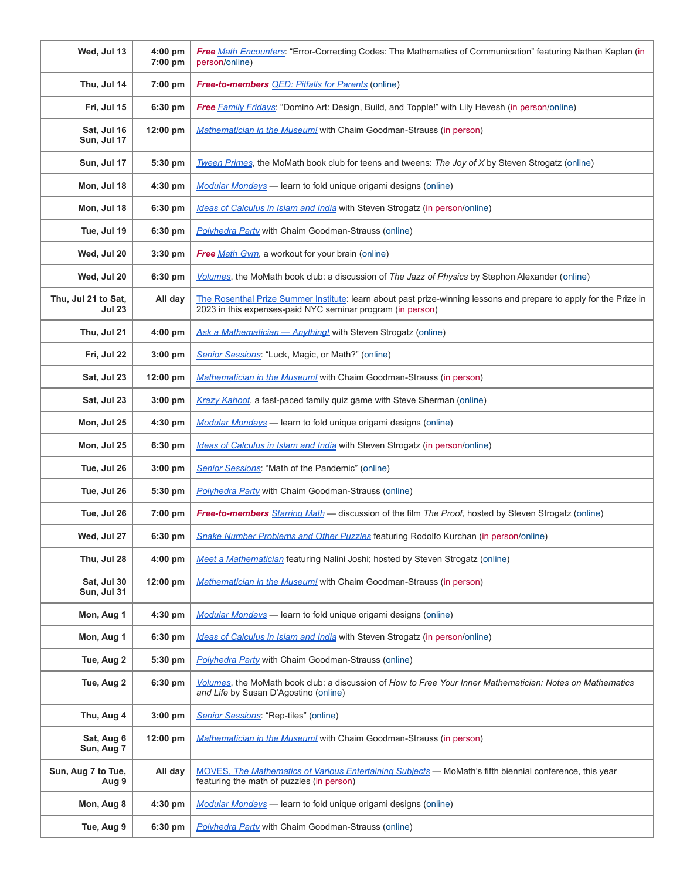| Wed, Jul 13                          | 4:00 pm<br>7:00 pm | Free Math Encounters: "Error-Correcting Codes: The Mathematics of Communication" featuring Nathan Kaplan (in<br>person/online)                                                   |
|--------------------------------------|--------------------|----------------------------------------------------------------------------------------------------------------------------------------------------------------------------------|
| Thu, Jul 14                          | $7:00 \text{ pm}$  | <b>Free-to-members QED: Pitfalls for Parents</b> (online)                                                                                                                        |
| Fri, Jul 15                          | 6:30 pm            | Free Family Fridays: "Domino Art: Design, Build, and Topple!" with Lily Hevesh (in person/online)                                                                                |
| Sat, Jul 16<br>Sun, Jul 17           | 12:00 pm           | Mathematician in the Museum! with Chaim Goodman-Strauss (in person)                                                                                                              |
| Sun, Jul 17                          | 5:30 pm            | Tween Primes, the MoMath book club for teens and tweens: The Joy of X by Steven Strogatz (online)                                                                                |
| Mon, Jul 18                          | $4:30$ pm          | Modular Mondays - learn to fold unique origami designs (online)                                                                                                                  |
| Mon, Jul 18                          | 6:30 pm            | Ideas of Calculus in Islam and India with Steven Strogatz (in person/online)                                                                                                     |
| Tue, Jul 19                          | 6:30 pm            | <b>Polyhedra Party with Chaim Goodman-Strauss (online)</b>                                                                                                                       |
| Wed, Jul 20                          | $3:30$ pm          | Free Math Gym, a workout for your brain (online)                                                                                                                                 |
| Wed, Jul 20                          | 6:30 pm            | Volumes, the MoMath book club: a discussion of The Jazz of Physics by Stephon Alexander (online)                                                                                 |
| Thu, Jul 21 to Sat,<br><b>Jul 23</b> | All day            | The Rosenthal Prize Summer Institute: learn about past prize-winning lessons and prepare to apply for the Prize in<br>2023 in this expenses-paid NYC seminar program (in person) |
| Thu, Jul 21                          | 4:00 pm            | Ask a Mathematician - Anything! with Steven Strogatz (online)                                                                                                                    |
| Fri, Jul 22                          | 3:00 pm            | Senior Sessions: "Luck, Magic, or Math?" (online)                                                                                                                                |
| Sat, Jul 23                          | 12:00 pm           | <b>Mathematician in the Museum!</b> with Chaim Goodman-Strauss (in person)                                                                                                       |
| Sat, Jul 23                          | $3:00$ pm          | Krazy Kahoot, a fast-paced family quiz game with Steve Sherman (online)                                                                                                          |
| Mon, Jul 25                          | 4:30 pm            | Modular Mondays - learn to fold unique origami designs (online)                                                                                                                  |
| Mon, Jul 25                          | 6:30 pm            | Ideas of Calculus in Islam and India with Steven Strogatz (in person/online)                                                                                                     |
| Tue, Jul 26                          | $3:00$ pm          | Senior Sessions: "Math of the Pandemic" (online)                                                                                                                                 |
| Tue, Jul 26                          | 5:30 pm            | Polyhedra Party with Chaim Goodman-Strauss (online)                                                                                                                              |
| Tue, Jul 26                          | 7:00 pm            | Free-to-members Starring Math - discussion of the film The Proof, hosted by Steven Strogatz (online)                                                                             |
| Wed, Jul 27                          | 6:30 pm            | Snake Number Problems and Other Puzzles featuring Rodolfo Kurchan (in person/online)                                                                                             |
| Thu, Jul 28                          | $4:00$ pm          | Meet a Mathematician featuring Nalini Joshi; hosted by Steven Strogatz (online)                                                                                                  |
| Sat, Jul 30<br>Sun, Jul 31           | 12:00 pm           | <b>Mathematician in the Museum!</b> with Chaim Goodman-Strauss (in person)                                                                                                       |
| Mon, Aug 1                           | 4:30 pm            | Modular Mondays - learn to fold unique origami designs (online)                                                                                                                  |
| Mon, Aug 1                           | 6:30 pm            | Ideas of Calculus in Islam and India with Steven Strogatz (in person/online)                                                                                                     |
| Tue, Aug 2                           | 5:30 pm            | Polyhedra Party with Chaim Goodman-Strauss (online)                                                                                                                              |
| Tue, Aug 2                           | 6:30 pm            | Volumes, the MoMath book club: a discussion of How to Free Your Inner Mathematician: Notes on Mathematics<br>and Life by Susan D'Agostino (online)                               |
| Thu, Aug 4                           | $3:00$ pm          | Senior Sessions: "Rep-tiles" (online)                                                                                                                                            |
| Sat, Aug 6<br>Sun, Aug 7             | $12:00$ pm         | <b>Mathematician in the Museum!</b> with Chaim Goodman-Strauss (in person)                                                                                                       |
| Sun, Aug 7 to Tue,<br>Aug 9          | All day            | MOVES. The Mathematics of Various Entertaining Subjects - MoMath's fifth biennial conference, this year<br>featuring the math of puzzles (in person)                             |
| Mon, Aug 8                           | 4:30 pm            | Modular Mondays - learn to fold unique origami designs (online)                                                                                                                  |
| Tue, Aug 9                           | 6:30 pm            | <b>Polyhedra Party</b> with Chaim Goodman-Strauss (online)                                                                                                                       |